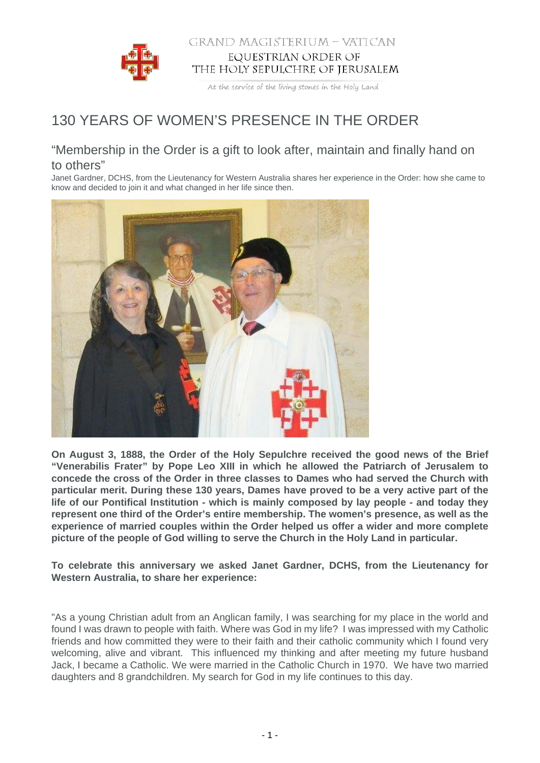

## GRAND MAGISTERIUM - VATICAN EQUESTRIAN ORDER OF THE HOLY SEPULCHRE OF JERUSALEM

At the service of the living stones in the Holy Land

## 130 YEARS OF WOMEN'S PRESENCE IN THE ORDER

## "Membership in the Order is a gift to look after, maintain and finally hand on to others"

Janet Gardner, DCHS, from the Lieutenancy for Western Australia shares her experience in the Order: how she came to know and decided to join it and what changed in her life since then.



**On August 3, 1888, the Order of the Holy Sepulchre received the good news of the Brief "Venerabilis Frater" by Pope Leo XIII in which he allowed the Patriarch of Jerusalem to concede the cross of the Order in three classes to Dames who had served the Church with particular merit. During these 130 years, Dames have proved to be a very active part of the life of our Pontifical Institution - which is mainly composed by lay people - and today they represent one third of the Order's entire membership. The women's presence, as well as the experience of married couples within the Order helped us offer a wider and more complete picture of the people of God willing to serve the Church in the Holy Land in particular.**

**To celebrate this anniversary we asked Janet Gardner, DCHS, from the Lieutenancy for Western Australia, to share her experience:**

"As a young Christian adult from an Anglican family, I was searching for my place in the world and found I was drawn to people with faith. Where was God in my life? I was impressed with my Catholic friends and how committed they were to their faith and their catholic community which I found very welcoming, alive and vibrant. This influenced my thinking and after meeting my future husband Jack, I became a Catholic. We were married in the Catholic Church in 1970. We have two married daughters and 8 grandchildren. My search for God in my life continues to this day.